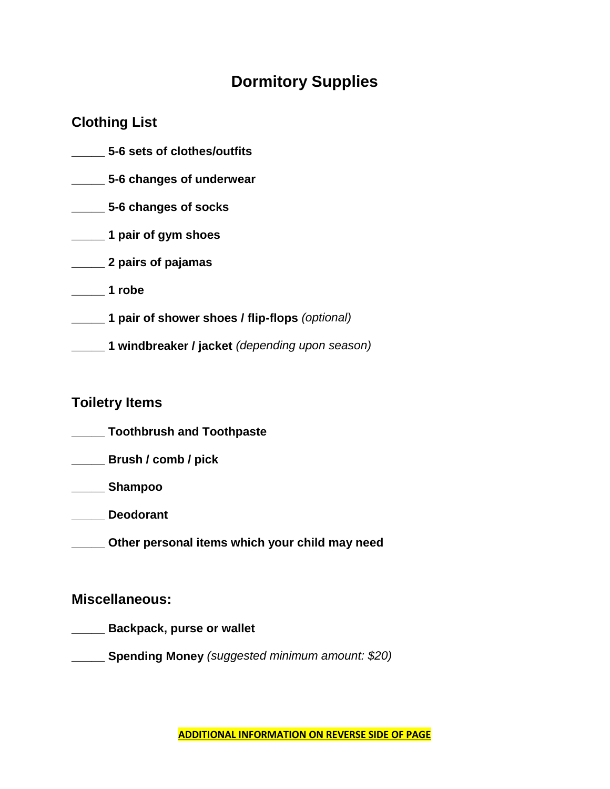### **Dormitory Supplies**

#### **Clothing List**

- **\_\_\_\_\_ 5-6 sets of clothes/outfits \_\_\_\_\_ 5-6 changes of underwear \_\_\_\_\_ 5-6 changes of socks \_\_\_\_\_ 1 pair of gym shoes \_\_\_\_\_ 2 pairs of pajamas \_\_\_\_\_ 1 robe \_\_\_\_\_ 1 pair of shower shoes / flip-flops** *(optional)*
- **\_\_\_\_\_ 1 windbreaker / jacket** *(depending upon season)*

#### **Toiletry Items**

- **\_\_\_\_\_ Toothbrush and Toothpaste**
- **\_\_\_\_\_ Brush / comb / pick**
- **\_\_\_\_\_ Shampoo**
- **\_\_\_\_\_ Deodorant**
- **\_\_\_\_\_ Other personal items which your child may need**

#### **Miscellaneous:**

- **\_\_\_\_\_ Backpack, purse or wallet**
- **\_\_\_\_\_ Spending Money** *(suggested minimum amount: \$20)*